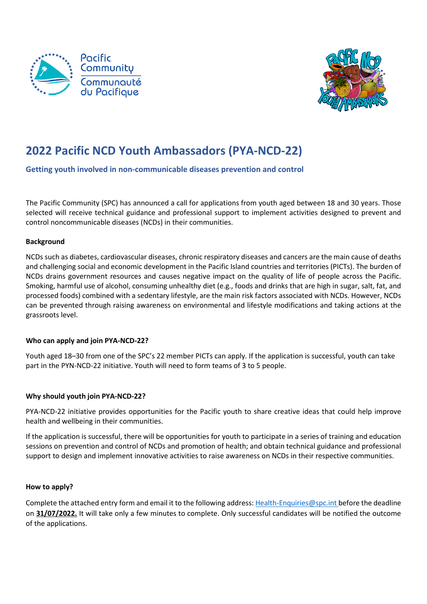



## **2022 Pacific NCD Youth Ambassadors (PYA-NCD-22)**

#### **Getting youth involved in non-communicable diseases prevention and control**

The Pacific Community (SPC) has announced a call for applications from youth aged between 18 and 30 years. Those selected will receive technical guidance and professional support to implement activities designed to prevent and control noncommunicable diseases (NCDs) in their communities.

#### **Background**

NCDs such as diabetes, cardiovascular diseases, chronic respiratory diseases and cancers are the main cause of deaths and challenging social and economic development in the Pacific Island countries and territories (PICTs). The burden of NCDs drains government resources and causes negative impact on the quality of life of people across the Pacific. Smoking, harmful use of alcohol, consuming unhealthy diet (e.g., foods and drinks that are high in sugar, salt, fat, and processed foods) combined with a sedentary lifestyle, are the main risk factors associated with NCDs. However, NCDs can be prevented through raising awareness on environmental and lifestyle modifications and taking actions at the grassroots level.

#### **Who can apply and join PYA-NCD-22?**

Youth aged 18–30 from one of the SPC's 22 member PICTs can apply. If the application is successful, youth can take part in the PYN-NCD-22 initiative. Youth will need to form teams of 3 to 5 people.

#### **Why should youth join PYA-NCD-22?**

PYA-NCD-22 initiative provides opportunities for the Pacific youth to share creative ideas that could help improve health and wellbeing in their communities.

If the application is successful, there will be opportunities for youth to participate in a series of training and education sessions on prevention and control of NCDs and promotion of health; and obtain technical guidance and professional support to design and implement innovative activities to raise awareness on NCDs in their respective communities.

#### **How to apply?**

Complete the attached entry form and email it to the following address: [Health-Enquiries@spc.int](mailto:Health-Enquiries@spc.int) before the deadline on **31/07/2022.** It will take only a few minutes to complete. Only successful candidates will be notified the outcome of the applications.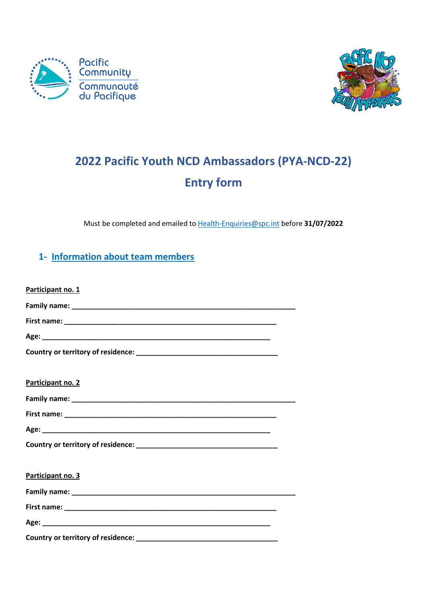



# **2022 Pacific Youth NCD Ambassadors (PYA-NCD-22) Entry form**

Must be completed and emailed to [Health-Enquiries@spc.int](mailto:Health-Enquiries@spc.int) before **31/07/2022**

## **1- Information about team members**

| Participant no. 1 |  |
|-------------------|--|
|                   |  |
|                   |  |
|                   |  |
|                   |  |
|                   |  |
| Participant no. 2 |  |
|                   |  |
|                   |  |
|                   |  |
|                   |  |
|                   |  |
| Participant no. 3 |  |
|                   |  |
|                   |  |
|                   |  |
|                   |  |